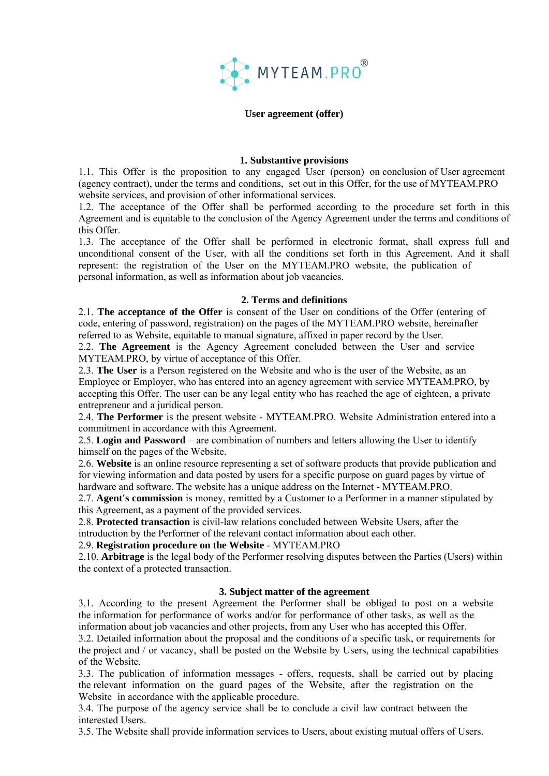

#### **User agreement (offer)**

#### **1. Substantive provisions**

1.1. This Offer is the proposition to any engaged User (person) on conclusion of User agreement (agency contract), under the terms and conditions, set out in this Offer, for the use of MYTEAM.PRO website services, and provision of other informational services.

1.2. The acceptance of the Offer shall be performed according to the procedure set forth in this Agreement and is equitable to the conclusion of the Agency Agreement under the terms and conditions of this Offer.

1.3. The acceptance of the Offer shall be performed in electronic format, shall express full and unconditional consent of the User, with all the conditions set forth in this Agreement. And it shall represent: the registration of the User on the MYTEAM.PRO website, the publication of personal information, as well as information about job vacancies.

#### **2. Terms and definitions**

2.1. **The acceptance of the Offer** is consent of the User on conditions of the Offer (entering of code, entering of password, registration) on the pages of the MYTEAM.PRO website, hereinafter referred to as Website, equitable to manual signature, affixed in paper record by the User.

2.2. **The Agreement** is the Agency Agreement concluded between the User and service MYTEAM.PRO, by virtue of acceptance of this Offer.

2.3. **The User** is a Person registered on the Website and who is the user of the Website, as an Employee or Employer, who has entered into an agency agreement with service MYTEAM.PRO, by accepting this Offer. The user can be any legal entity who has reached the age of eighteen, a private entrepreneur and a juridical person.

2.4. **The Performer** is the present website - MYTEAM.PRO. Website Administration entered into a commitment in accordance with this Agreement.

2.5. **Login and Password** – are combination of numbers and letters allowing the User to identify himself on the pages of the Website.

2.6. **Website** is an online resource representing a set of software products that provide publication and for viewing information and data posted by users for a specific purpose on guard pages by virtue of hardware and software. The website has a unique address on the Internet - MYTEAM.PRO.

2.7. **Agent's commission** is money, remitted by a Customer to a Performer in a manner stipulated by this Agreement, as a payment of the provided services.

2.8. **Protected transaction** is civil-law relations concluded between Website Users, after the

introduction by the Performer of the relevant contact information about each other.

2.9. **Registration procedure on the Website** - MYTEAM.PRO

2.10. **Arbitrage** is the legal body of the Performer resolving disputes between the Parties (Users) within the context of a protected transaction.

## **3. Subject matter of the agreement**

3.1. According to the present Agreement the Performer shall be obliged to post on a website the information for performance of works and/or for performance of other tasks, as well as the information about job vacancies and other projects, from any User who has accepted this Offer.

3.2. Detailed information about the proposal and the conditions of a specific task, or requirements for the project and / or vacancy, shall be posted on the Website by Users, using the technical capabilities of the Website.

3.3. The publication of information messages - offers, requests, shall be carried out by placing the relevant information on the guard pages of the Website, after the registration on the Website in accordance with the applicable procedure.

3.4. The purpose of the agency service shall be to conclude a civil law contract between the interested Users.

3.5. The Website shall provide information services to Users, about existing mutual offers of Users.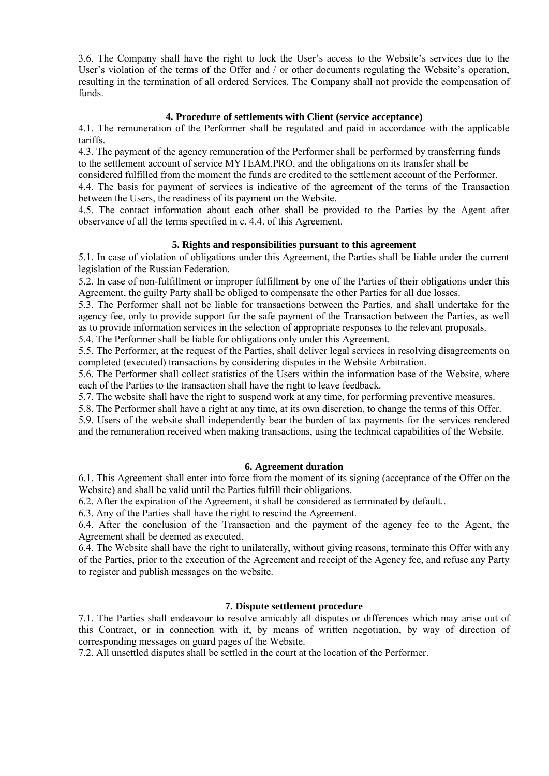3.6. The Company shall have the right to lock the User's access to the Website's services due to the User's violation of the terms of the Offer and / or other documents regulating the Website's operation, resulting in the termination of all ordered Services. The Company shall not provide the compensation of funds.

# **4. Procedure of settlements with Client (service acceptance)**

4.1. The remuneration of the Performer shall be regulated and paid in accordance with the applicable tariffs.

4.3. The payment of the agency remuneration of the Performer shall be performed by transferring funds to the settlement account of service MYTEAM.PRO, and the obligations on its transfer shall be

considered fulfilled from the moment the funds are credited to the settlement account of the Performer. 4.4. The basis for payment of services is indicative of the agreement of the terms of the Transaction between the Users, the readiness of its payment on the Website.

4.5. The contact information about each other shall be provided to the Parties by the Agent after observance of all the terms specified in c. 4.4. of this Agreement.

# **5. Rights and responsibilities pursuant to this agreement**

5.1. In case of violation of obligations under this Agreement, the Parties shall be liable under the current legislation of the Russian Federation.

5.2. In case of non-fulfillment or improper fulfillment by one of the Parties of their obligations under this Agreement, the guilty Party shall be obliged to compensate the other Parties for all due losses.

5.3. The Performer shall not be liable for transactions between the Parties, and shall undertake for the agency fee, only to provide support for the safe payment of the Transaction between the Parties, as well as to provide information services in the selection of appropriate responses to the relevant proposals.

5.4. The Performer shall be liable for obligations only under this Agreement.

5.5. The Performer, at the request of the Parties, shall deliver legal services in resolving disagreements on completed (executed) transactions by considering disputes in the Website Arbitration.

5.6. The Performer shall collect statistics of the Users within the information base of the Website, where each of the Parties to the transaction shall have the right to leave feedback.

5.7. The website shall have the right to suspend work at any time, for performing preventive measures.

5.8. The Performer shall have a right at any time, at its own discretion, to change the terms of this Offer.

5.9. Users of the website shall independently bear the burden of tax payments for the services rendered and the remuneration received when making transactions, using the technical capabilities of the Website.

## **6. Agreement duration**

6.1. This Agreement shall enter into force from the moment of its signing (acceptance of the Offer on the Website) and shall be valid until the Parties fulfill their obligations.

6.2. After the expiration of the Agreement, it shall be considered as terminated by default..

6.3. Any of the Parties shall have the right to rescind the Agreement.

6.4. After the conclusion of the Transaction and the payment of the agency fee to the Agent, the Agreement shall be deemed as executed.

6.4. The Website shall have the right to unilaterally, without giving reasons, terminate this Offer with any of the Parties, prior to the execution of the Agreement and receipt of the Agency fee, and refuse any Party to register and publish messages on the website.

## **7. Dispute settlement procedure**

7.1. The Parties shall endeavour to resolve amicably all disputes or differences which may arise out of this Contract, or in connection with it, by means of written negotiation, by way of direction of corresponding messages on guard pages of the Website.

7.2. All unsettled disputes shall be settled in the court at the location of the Performer.